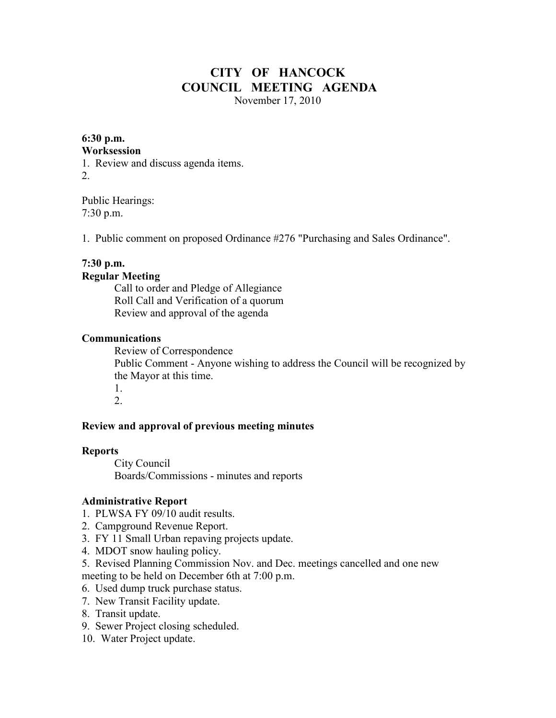## **CITY OF HANCOCK COUNCIL MEETING AGENDA**  November 17, 2010

# **6:30 p.m.**

#### **Worksession**

1. Review and discuss agenda items. 2.

Public Hearings: 7:30 p.m.

1. Public comment on proposed Ordinance #276 "Purchasing and Sales Ordinance".

## **7:30 p.m.**

#### **Regular Meeting**

 Call to order and Pledge of Allegiance Roll Call and Verification of a quorum Review and approval of the agenda

#### **Communications**

 Review of Correspondence Public Comment - Anyone wishing to address the Council will be recognized by the Mayor at this time. 1.

2.

#### **Review and approval of previous meeting minutes**

#### **Reports**

City Council Boards/Commissions - minutes and reports

#### **Administrative Report**

- 1. PLWSA FY 09/10 audit results.
- 2. Campground Revenue Report.
- 3. FY 11 Small Urban repaving projects update.
- 4. MDOT snow hauling policy.
- 5. Revised Planning Commission Nov. and Dec. meetings cancelled and one new meeting to be held on December 6th at 7:00 p.m.
- 6. Used dump truck purchase status.
- 7. New Transit Facility update.
- 8. Transit update.
- 9. Sewer Project closing scheduled.
- 10. Water Project update.